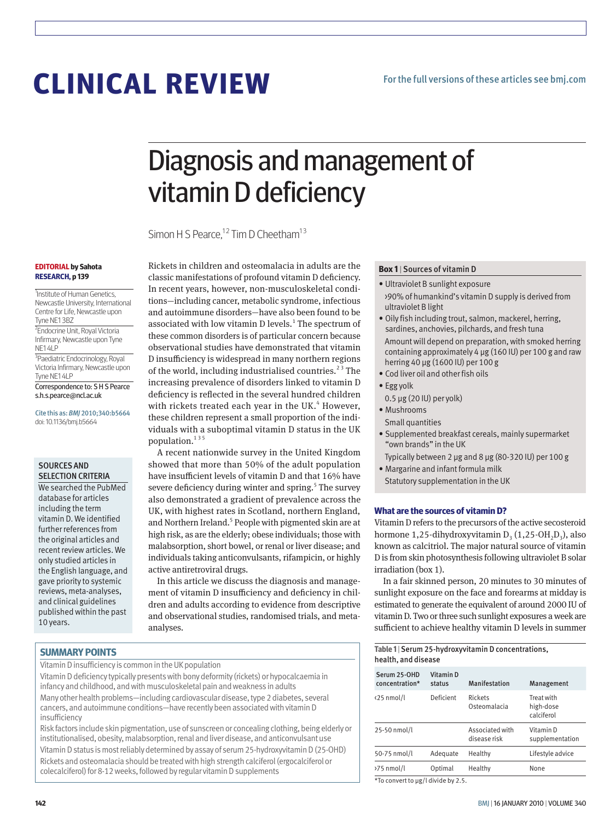# CLINICAL REVIEW For the full versions of these articles see bmj.com

## Diagnosis and management of vitamin D deficiency

Simon H S Pearce,  $12$  Tim D Cheetham<sup>13</sup>

## **Editorial by Sahota Research, p 139**

1 Institute of Human Genetics, Newcastle University, International Centre for Life, Newcastle upon Tyne NE1 3BZ

2 Endocrine Unit, Royal Victoria Infirmary, Newcastle upon Tyne **NF14LP** 

<sup>3</sup>Paediatric Endocrinology, Royal Victoria Infirmary, Newcastle upon Tyne NE1 4LP

Correspondence to: S H S Pearce s.h.s.pearce@ncl.ac.uk

Cite this as: *BMJ* 2010;340:b5664 doi: 10.1136/bmj.b5664

## Sources and **SELECTION CRITERIA**

We searched the PubMed database for articles including the term vitamin D. We identified further references from the original articles and recent review articles. We only studied articles in the English language, and gave priority to systemic reviews, meta-analyses, and clinical guidelines published within the past 10 years.

Rickets in children and osteomalacia in adults are the classic manifestations of profound vitamin D deficiency. In recent years, however, non-musculoskeletal conditions—including cancer, metabolic syndrome, infectious and autoimmune disorders—have also been found to be associated with low vitamin D levels.<sup>1</sup> The spectrum of these common disorders is of particular concern because observational studies have demonstrated that vitamin D insufficiency is widespread in many northern regions of the world, including industrialised countries.<sup>23</sup> The increasing prevalence of disorders linked to vitamin D deficiency is reflected in the several hundred children with rickets treated each year in the UK.<sup>4</sup> However, these children represent a small proportion of the individuals with a suboptimal vitamin D status in the UK population.<sup>135</sup>

A recent nationwide survey in the United Kingdom showed that more than 50% of the adult population have insufficient levels of vitamin D and that 16% have severe deficiency during winter and spring.<sup>5</sup> The survey also demonstrated a gradient of prevalence across the UK, with highest rates in Scotland, northern England, and Northern Ireland.<sup>5</sup> People with pigmented skin are at high risk, as are the elderly; obese individuals; those with malabsorption, short bowel, or renal or liver disease; and individuals taking anticonvulsants, rifampicin, or highly active antiretroviral drugs.

In this article we discuss the diagnosis and management of vitamin D insufficiency and deficiency in children and adults according to evidence from descriptive and observational studies, randomised trials, and metaanalyses.

## **Summary Points**

Vitamin D insufficiency is common in the UK population

Vitamin D deficiency typically presents with bony deformity (rickets) or hypocalcaemia in infancy and childhood, and with musculoskeletal pain and weakness in adults Many other health problems—including cardiovascular disease, type 2 diabetes, several cancers, and autoimmune conditions—have recently been associated with vitamin D insufficiency

Risk factors include skin pigmentation, use of sunscreen or concealing clothing, being elderly or institutionalised, obesity, malabsorption, renal and liver disease, and anticonvulsant use Vitamin D status is most reliably determined by assay of serum 25-hydroxyvitamin D (25-OHD) Rickets and osteomalacia should be treated with high strength calciferol (ergocalciferol or colecalciferol) for 8-12 weeks, followed by regular vitamin D supplements

## **Box 1** | Sources of vitamin D

- Ultraviolet B sunlight exposure >90% of humankind's vitamin D supply is derived from
- ultraviolet B light • Oily fish including trout, salmon, mackerel, herring, sardines, anchovies, pilchards, and fresh tuna Amount will depend on preparation, with smoked herring containing approximately 4 μg (160 IU) per 100 g and raw herring 40 μg (1600 IU) per 100 g
- • Cod liver oil and other fish oils
- • Egg yolk
- 0.5 μg (20 IU) per yolk)
- Mushrooms
- Small quantities
- Supplemented breakfast cereals, mainly supermarket "own brands" in the UK
- Typically between 2 μg and 8 μg (80-320 IU) per 100 g
- • Margarine and infant formula milk
- Statutory supplementation in the UK

## **What are the sources of vitamin D?**

Vitamin D refers to the precursors of the active secosteroid hormone 1,25-dihydroxyvitamin  $D_3$  (1,25-OH<sub>2</sub>D<sub>3</sub>), also known as calcitriol. The major natural source of vitamin D is from skin photosynthesis following ultraviolet B solar irradiation (box 1).

In a fair skinned person, 20 minutes to 30 minutes of sunlight exposure on the face and forearms at midday is estimated to generate the equivalent of around 2000 IU of vitamin D. Two or three such sunlight exposures a week are sufficient to achieve healthy vitamin D levels in summer

## **Table 1** | Serum 25-hydroxyvitamin D concentrations, health, and disease

| Serum 25-OHD<br>concentration*      | Vitamin D<br>status | <b>Manifestation</b>            | Management                            |  |  |
|-------------------------------------|---------------------|---------------------------------|---------------------------------------|--|--|
| $\langle 25 \text{ nmol/l} \rangle$ | Deficient           | <b>Rickets</b><br>Osteomalacia  | Treat with<br>high-dose<br>calciferol |  |  |
| 25-50 nmol/l                        |                     | Associated with<br>disease risk | Vitamin D<br>supplementation          |  |  |
| 50-75 nmol/l                        | Adequate            | Healthy                         | Lifestyle advice                      |  |  |
| >75 nmol/l                          | Optimal             | Healthy                         | None                                  |  |  |
| *To convert to ug/I divide by 2.5.  |                     |                                 |                                       |  |  |

**142** BMJ | 16 January 2010 | Volume 340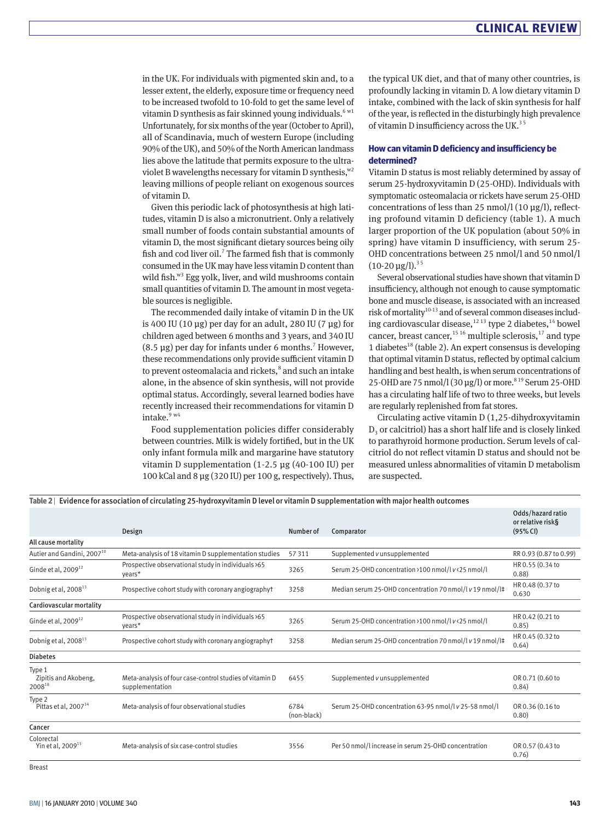in the UK. For individuals with pigmented skin and, to a lesser extent, the elderly, exposure time or frequency need to be increased twofold to 10-fold to get the same level of vitamin D synthesis as fair skinned young individuals. $6^{w1}$ Unfortunately, for six months of the year (October to April), all of Scandinavia, much of western Europe (including 90% of the UK), and 50% of the North American landmass lies above the latitude that permits exposure to the ultraviolet B wavelengths necessary for vitamin D synthesis,  $w^2$ leaving millions of people reliant on exogenous sources of vitamin D.

Given this periodic lack of photosynthesis at high latitudes, vitamin D is also a micronutrient. Only a relatively small number of foods contain substantial amounts of vitamin D, the most significant dietary sources being oily fish and cod liver oil.<sup>7</sup> The farmed fish that is commonly consumed in the UK may have less vitamin D content than wild fish.<sup>w3</sup> Egg yolk, liver, and wild mushrooms contain small quantities of vitamin D. The amount in most vegetable sources is negligible.

The recommended daily intake of vitamin D in the UK is 400 IU (10  $\mu$ g) per day for an adult, 280 IU (7  $\mu$ g) for children aged between 6 months and 3 years, and 340 IU  $(8.5 \,\mu g)$  per day for infants under 6 months.<sup>7</sup> However, these recommendations only provide sufficient vitamin D to prevent osteomalacia and rickets,<sup>8</sup> and such an intake alone, in the absence of skin synthesis, will not provide optimal status. Accordingly, several learned bodies have recently increased their recommendations for vitamin D intake.<sup>9 w4</sup>

Food supplementation policies differ considerably between countries. Milk is widely fortified, but in the UK only infant formula milk and margarine have statutory vitamin D supplementation (1-2.5 μg (40-100 IU) per 100 kCal and 8 μg (320 IU) per 100 g, respectively). Thus, the typical UK diet, and that of many other countries, is profoundly lacking in vitamin D. A low dietary vitamin D intake, combined with the lack of skin synthesis for half of the year, is reflected in the disturbingly high prevalence of vitamin D insufficiency across the UK.<sup>35</sup>

## **How can vitamin D deficiency and insufficiency be determined?**

Vitamin D status is most reliably determined by assay of serum 25-hydroxyvitamin D (25-OHD). Individuals with symptomatic osteomalacia or rickets have serum 25-OHD concentrations of less than 25 nmol/l (10 μg/l), reflecting profound vitamin D deficiency (table 1). A much larger proportion of the UK population (about 50% in spring) have vitamin D insufficiency, with serum 25- OHD concentrations between 25 nmol/l and 50 nmol/l  $(10-20 \,\text{µg/l})$ .<sup>35</sup>

Several observational studies have shown that vitamin D insufficiency, although not enough to cause symptomatic bone and muscle disease, is associated with an increased risk of mortality $10-13$  and of several common diseases including cardiovascular disease, $1213$  type 2 diabetes, $14$  bowel cancer, breast cancer, <sup>15 16</sup> multiple sclerosis, <sup>17</sup> and type 1 diabetes<sup>18</sup> (table 2). An expert consensus is developing that optimal vitamin D status, reflected by optimal calcium handling and best health, is when serum concentrations of 25-OHD are 75 nmol/l (30  $\mu$ g/l) or more.<sup>819</sup> Serum 25-OHD has a circulating half life of two to three weeks, but levels are regularly replenished from fat stores.

Circulating active vitamin D (1,25-dihydroxyvitamin D<sub>2</sub> or calcitriol) has a short half life and is closely linked to parathyroid hormone production. Serum levels of calcitriol do not reflect vitamin D status and should not be measured unless abnormalities of vitamin D metabolism are suspected.

**Table 2** | Evidence for association of circulating 25-hydroxyvitamin D level or vitamin D supplementation with major health outcomes

|                                            | Design                                                                     | Number of           | Comparator                                               | Odds/hazard ratio<br>or relative risk§<br>(95% CI) |
|--------------------------------------------|----------------------------------------------------------------------------|---------------------|----------------------------------------------------------|----------------------------------------------------|
| All cause mortality                        |                                                                            |                     |                                                          |                                                    |
| Autier and Gandini, 2007 <sup>10</sup>     | Meta-analysis of 18 vitamin D supplementation studies                      | 57311               | Supplemented vunsupplemented                             | RR 0.93 (0.87 to 0.99)                             |
| Ginde et al, $2009^{12}$                   | Prospective observational study in individuals >65<br>years*               | 3265                | Serum 25-OHD concentration >100 nmol/l v < 25 nmol/l     | HR 0.55 (0.34 to<br>0.88)                          |
| Dobnig et al, $200813$                     | Prospective cohort study with coronary angiographyt                        | 3258                | Median serum 25-OHD concentration 70 nmol/l v 19 nmol/l‡ | HR 0.48 (0.37 to<br>0.630                          |
| Cardiovascular mortality                   |                                                                            |                     |                                                          |                                                    |
| Ginde et al, $2009^{12}$                   | Prospective observational study in individuals >65<br>years*               | 3265                | Serum 25-OHD concentration >100 nmol/l v < 25 nmol/l     | HR 0.42 (0.21 to<br>0.85)                          |
| Dobnig et al, 2008 <sup>13</sup>           | Prospective cohort study with coronary angiographyt                        | 3258                | Median serum 25-OHD concentration 70 nmol/l v 19 nmol/l‡ | HR 0.45 (0.32 to<br>0.64)                          |
| <b>Diabetes</b>                            |                                                                            |                     |                                                          |                                                    |
| Type 1<br>Zipitis and Akobeng,<br>200818   | Meta-analysis of four case-control studies of vitamin D<br>supplementation | 6455                | Supplemented vunsupplemented                             | OR 0.71 (0.60 to<br>0.84)                          |
| Type 2<br>Pittas et al, 2007 <sup>14</sup> | Meta-analysis of four observational studies                                | 6784<br>(non-black) | Serum 25-OHD concentration 63-95 nmol/l v 25-58 nmol/l   | OR 0.36 (0.16 to<br>0.80)                          |
| Cancer                                     |                                                                            |                     |                                                          |                                                    |
| Colorectal<br>Yin et al, $2009^{15}$       | Meta-analysis of six case-control studies                                  | 3556                | Per 50 nmol/l increase in serum 25-OHD concentration     | OR 0.57 (0.43 to<br>0.76                           |
|                                            |                                                                            |                     |                                                          |                                                    |

Breast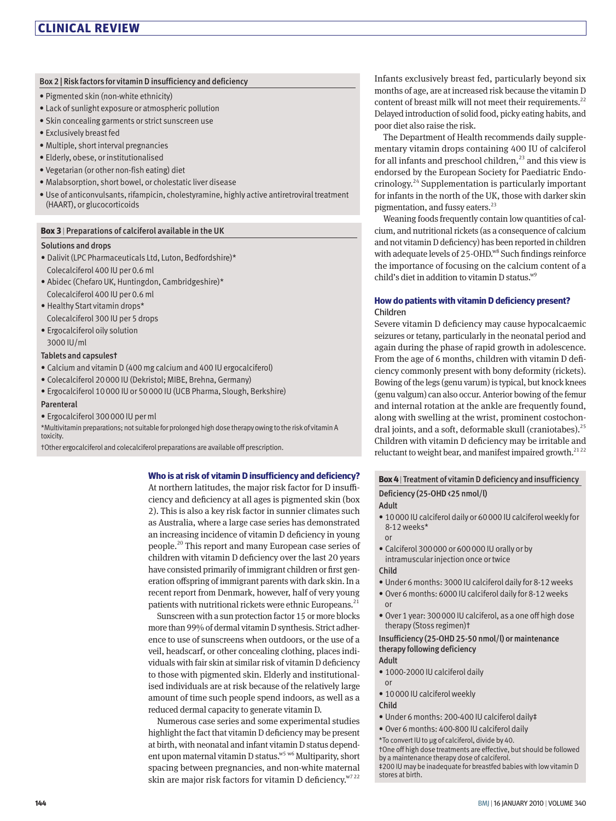## **CLINICAL REVIEW**

### Box 2 | Risk factors for vitamin D insufficiency and deficiency

- Pigmented skin (non-white ethnicity)
- • Lack of sunlight exposure or atmospheric pollution
- Skin concealing garments or strict sunscreen use
- • Exclusively breast fed
- • Multiple, short interval pregnancies
- • Elderly, obese, or institutionalised
- • Vegetarian (or other non-fish eating) diet
- Malabsorption, short bowel, or cholestatic liver disease
- • Use of anticonvulsants, rifampicin, cholestyramine, highly active antiretroviral treatment (HAART), or glucocorticoids

## **Box 3** | Preparations of calciferol available in the UK

## Solutions and drops

- Dalivit (LPC Pharmaceuticals Ltd, Luton, Bedfordshire)\* Colecalciferol 400 IU per 0.6 ml
- Abidec (Chefaro UK, Huntingdon, Cambridgeshire)\* Colecalciferol 400 IU per 0.6 ml
- Healthy Start vitamin drops\* Colecalciferol 300 IU per 5 drops
- • Ergocalciferol oily solution 3000 IU/ml

#### Tablets and capsules†

- • Calcium and vitamin D (400 mg calcium and 400 IU ergocalciferol)
- • Colecalciferol 20000 IU (Dekristol; MIBE, Brehna, Germany)
- Ergocalciferol 10000 IU or 50000 IU (UCB Pharma, Slough, Berkshire)

#### Parenteral

• Ergocalciferol 300000 IU per ml

\*Multivitamin preparations; not suitable for prolonged high dose therapy owing to the risk of vitamin A toxicity.

†Other ergocalciferol and colecalciferol preparations are available off prescription.

## **Who is at risk of vitamin D insufficiency and deficiency?**

At northern latitudes, the major risk factor for D insufficiency and deficiency at all ages is pigmented skin (box 2). This is also a key risk factor in sunnier climates such as Australia, where a large case series has demonstrated an increasing incidence of vitamin D deficiency in young people.20 This report and many European case series of children with vitamin D deficiency over the last 20 years have consisted primarily of immigrant children or first generation offspring of immigrant parents with dark skin. In a recent report from Denmark, however, half of very young patients with nutritional rickets were ethnic Europeans.<sup>21</sup>

Sunscreen with a sun protection factor 15 or more blocks more than 99% of dermal vitamin D synthesis. Strict adherence to use of sunscreens when outdoors, or the use of a veil, headscarf, or other concealing clothing, places individuals with fair skin at similar risk of vitamin D deficiency to those with pigmented skin. Elderly and institutionalised individuals are at risk because of the relatively large amount of time such people spend indoors, as well as a reduced dermal capacity to generate vitamin D.

Numerous case series and some experimental studies highlight the fact that vitamin D deficiency may be present at birth, with neonatal and infant vitamin D status dependent upon maternal vitamin D status.<sup>w5 w6</sup> Multiparity, short spacing between pregnancies, and non-white maternal skin are major risk factors for vitamin D deficiency. $w^{722}$  Infants exclusively breast fed, particularly beyond six months of age, are at increased risk because the vitamin D content of breast milk will not meet their requirements.<sup>22</sup> Delayed introduction of solid food, picky eating habits, and poor diet also raise the risk.

The Department of Health recommends daily supplementary vitamin drops containing 400 IU of calciferol for all infants and preschool children, $^{23}$  and this view is endorsed by the European Society for Paediatric Endocrinology.24 Supplementation is particularly important for infants in the north of the UK, those with darker skin pigmentation, and fussy eaters.<sup>23</sup>

Weaning foods frequently contain low quantities of calcium, and nutritional rickets (as a consequence of calcium and not vitamin D deficiency) has been reported in children with adequate levels of 25-OHD.<sup>w8</sup> Such findings reinforce the importance of focusing on the calcium content of a child's diet in addition to vitamin D status. $^{w9}$ 

## **How do patients with vitamin D deficiency present?** Children

Severe vitamin D deficiency may cause hypocalcaemic seizures or tetany, particularly in the neonatal period and again during the phase of rapid growth in adolescence. From the age of 6 months, children with vitamin D deficiency commonly present with bony deformity (rickets). Bowing of the legs (genu varum) is typical, but knock knees (genu valgum) can also occur. Anterior bowing of the femur and internal rotation at the ankle are frequently found, along with swelling at the wrist, prominent costochondral joints, and a soft, deformable skull (craniotabes).<sup>25</sup> Children with vitamin D deficiency may be irritable and reluctant to weight bear, and manifest impaired growth.<sup>2122</sup>

## **Box 4** | Treatment of vitamin D deficiency and insufficiency

#### Deficiency (25-OHD <25 nmol/l)

#### Adult

- 10000 IU calciferol daily or 60 000 IU calciferol weekly for 8-12 weeks\* or
- Calciferol 300 000 or 600 000 IU orally or by intramuscular injection once or twice

## Child

- • Under 6 months: 3000 IU calciferol daily for 8-12 weeks
- Over 6 months: 6000 IU calciferol daily for 8-12 weeks or
- • Over 1 year: 300000 IU calciferol, as a one off high dose therapy (Stoss regimen)†

## Insufficiency (25-OHD 25-50 nmol/l) or maintenance therapy following deficiency Adult

- 1000-2000 IU calciferol daily
- or
- 10000 IU calciferol weekly

## Child

- • Under 6 months: 200-400 IU calciferol daily‡
- • Over 6 months: 400-800 IU calciferol daily
- \*To convert IU to μg of calciferol, divide by 40.

†One off high dose treatments are effective, but should be followed by a maintenance therapy dose of calciferol.

‡200 IU may be inadequate for breastfed babies with low vitamin D stores at birth.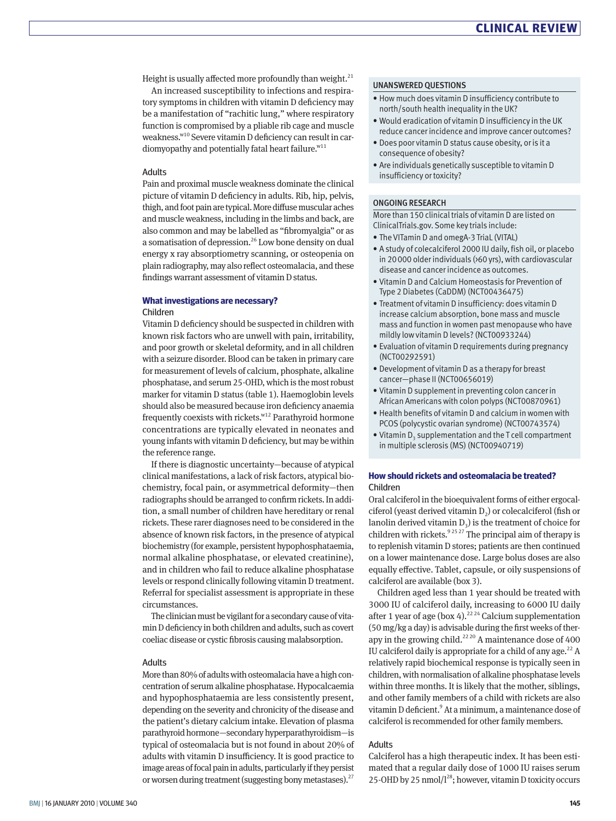Height is usually affected more profoundly than weight. $^{21}$ 

An increased susceptibility to infections and respiratory symptoms in children with vitamin D deficiency may be a manifestation of "rachitic lung," where respiratory function is compromised by a pliable rib cage and muscle weakness.w10 Severe vitamin D deficiency can result in cardiomyopathy and potentially fatal heart failure. $N11$ 

## Adults

Pain and proximal muscle weakness dominate the clinical picture of vitamin D deficiency in adults. Rib, hip, pelvis, thigh, and foot pain are typical. More diffuse muscular aches and muscle weakness, including in the limbs and back, are also common and may be labelled as "fibromyalgia" or as a somatisation of depression.<sup>26</sup> Low bone density on dual energy x ray absorptiometry scanning, or osteopenia on plain radiography, may also reflect osteomalacia, and these findings warrant assessment of vitamin D status.

## **What investigations are necessary?**

## Children

Vitamin D deficiency should be suspected in children with known risk factors who are unwell with pain, irritability, and poor growth or skeletal deformity, and in all children with a seizure disorder. Blood can be taken in primary care for measurement of levels of calcium, phosphate, alkaline phosphatase, and serum 25-OHD, which is the most robust marker for vitamin D status (table 1). Haemoglobin levels should also be measured because iron deficiency anaemia frequently coexists with rickets.<sup>w12</sup> Parathyroid hormone concentrations are typically elevated in neonates and young infants with vitamin D deficiency, but may be within the reference range.

If there is diagnostic uncertainty—because of atypical clinical manifestations, a lack of risk factors, atypical biochemistry, focal pain, or asymmetrical deformity—then radiographs should be arranged to confirm rickets. In addition, a small number of children have hereditary or renal rickets. These rarer diagnoses need to be considered in the absence of known risk factors, in the presence of atypical biochemistry (for example, persistent hypophosphataemia, normal alkaline phosphatase, or elevated creatinine), and in children who fail to reduce alkaline phosphatase levels or respond clinically following vitamin D treatment. Referral for specialist assessment is appropriate in these circumstances.

The clinician must be vigilant for a secondary cause of vitamin D deficiency in both children and adults, such as covert coeliac disease or cystic fibrosis causing malabsorption.

## Adults

More than 80% of adults with osteomalacia have a high concentration of serum alkaline phosphatase. Hypocalcaemia and hypophosphataemia are less consistently present, depending on the severity and chronicity of the disease and the patient's dietary calcium intake. Elevation of plasma parathyroid hormone—secondary hyperparathyroidism—is typical of osteomalacia but is not found in about 20% of adults with vitamin D insufficiency. It is good practice to image areas of focal pain in adults, particularly if they persist or worsen during treatment (suggesting bony metastases).<sup>27</sup>

## Unanswered questions

- • How much does vitamin D insufficiency contribute to north/south health inequality in the UK?
- • Would eradication of vitamin D insufficiency in the UK reduce cancer incidence and improve cancer outcomes?
- Does poor vitamin D status cause obesity, or is it a consequence of obesity?
- Are individuals genetically susceptible to vitamin D insufficiency or toxicity?

## Ongoing research

More than 150 clinical trials of vitamin D are listed on ClinicalTrials.gov. Some key trials include:

- The VITamin D and omegA-3 TriaL (VITAL)
- • A study of colecalciferol 2000 IU daily, fish oil, or placebo in 20000 older individuals (>60 yrs), with cardiovascular disease and cancer incidence as outcomes.
- • Vitamin D and Calcium Homeostasis for Prevention of Type 2 Diabetes (CaDDM) (NCT00436475)
- • Treatment of vitamin D insufficiency: does vitamin D increase calcium absorption, bone mass and muscle mass and function in women past menopause who have mildly low vitamin D levels? (NCT00933244)
- Evaluation of vitamin D requirements during pregnancy (NCT00292591)
- Development of vitamin D as a therapy for breast cancer—phase II (NCT00656019)
- • Vitamin D supplement in preventing colon cancer in African Americans with colon polyps (NCT00870961)
- • Health benefits of vitamin D and calcium in women with PCOS (polycystic ovarian syndrome) (NCT00743574)
- Vitamin D<sub>2</sub> supplementation and the T cell compartment in multiple sclerosis (MS) (NCT00940719)

## **How should rickets and osteomalacia be treated?** Children

Oral calciferol in the bioequivalent forms of either ergocalciferol (yeast derived vitamin  $D_2$ ) or colecalciferol (fish or lanolin derived vitamin  $D<sub>2</sub>$ ) is the treatment of choice for children with rickets.<sup>925 27</sup> The principal aim of therapy is to replenish vitamin D stores; patients are then continued on a lower maintenance dose. Large bolus doses are also equally effective. Tablet, capsule, or oily suspensions of calciferol are available (box 3).

Children aged less than 1 year should be treated with 3000 IU of calciferol daily, increasing to 6000 IU daily after 1 year of age (box 4).<sup>2224</sup> Calcium supplementation (50 mg/kg a day) is advisable during the first weeks of therapy in the growing child.<sup>22 20</sup> A maintenance dose of 400 IU calciferol daily is appropriate for a child of any age. $^{22}$  A relatively rapid biochemical response is typically seen in children, with normalisation of alkaline phosphatase levels within three months. It is likely that the mother, siblings, and other family members of a child with rickets are also vitamin D deficient.<sup>9</sup> At a minimum, a maintenance dose of calciferol is recommended for other family members.

## Adults

Calciferol has a high therapeutic index. It has been estimated that a regular daily dose of 1000 IU raises serum 25-OHD by 25 nmol/ $l^{28}$ ; however, vitamin D toxicity occurs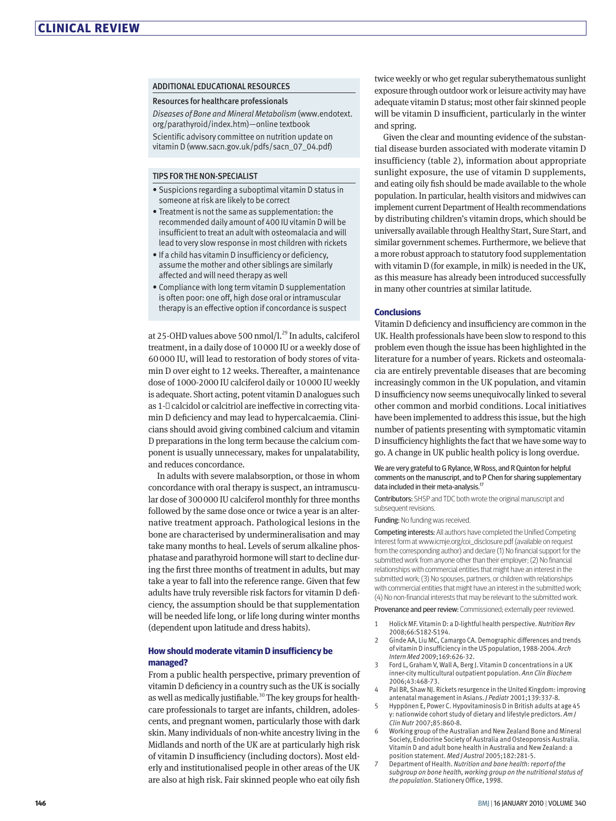#### Additional educational resources

#### Resources for healthcare professionals

*Diseases of Bone and Mineral Metabolism* (www.endotext. org/parathyroid/index.htm)—online textbook Scientific advisory committee on nutrition update on vitamin D (www.sacn.gov.uk/pdfs/sacn\_07\_04.pdf)

#### Tips for the non-specialist

- • Suspicions regarding a suboptimal vitamin D status in someone at risk are likely to be correct
- • Treatment is not the same as supplementation: the recommended daily amount of 400 IU vitamin D will be insufficient to treat an adult with osteomalacia and will lead to very slow response in most children with rickets
- If a child has vitamin D insufficiency or deficiency, assume the mother and other siblings are similarly affected and will need therapy as well
- • Compliance with long term vitamin D supplementation is often poor: one off, high dose oral or intramuscular therapy is an effective option if concordance is suspect

at 25-OHD values above 500 nmol $/1.^{29}$  In adults, calciferol treatment, in a daily dose of 10000 IU or a weekly dose of 60000 IU, will lead to restoration of body stores of vitamin D over eight to 12 weeks. Thereafter, a maintenance dose of 1000-2000 IU calciferol daily or 10000 IU weekly is adequate. Short acting, potent vitamin D analogues such as 1- calcidol or calcitriol are ineffective in correcting vitamin D deficiency and may lead to hypercalcaemia. Clinicians should avoid giving combined calcium and vitamin D preparations in the long term because the calcium component is usually unnecessary, makes for unpalatability, and reduces concordance.

In adults with severe malabsorption, or those in whom concordance with oral therapy is suspect, an intramuscular dose of 300000 IU calciferol monthly for three months followed by the same dose once or twice a year is an alternative treatment approach. Pathological lesions in the bone are characterised by undermineralisation and may take many months to heal. Levels of serum alkaline phosphatase and parathyroid hormone will start to decline during the first three months of treatment in adults, but may take a year to fall into the reference range. Given that few adults have truly reversible risk factors for vitamin D deficiency, the assumption should be that supplementation will be needed life long, or life long during winter months (dependent upon latitude and dress habits).

## **How should moderate vitamin D insufficiency be managed?**

From a public health perspective, primary prevention of vitamin D deficiency in a country such as the UK is socially as well as medically justifiable.<sup>30</sup> The key groups for healthcare professionals to target are infants, children, adolescents, and pregnant women, particularly those with dark skin. Many individuals of non-white ancestry living in the Midlands and north of the UK are at particularly high risk of vitamin D insufficiency (including doctors). Most elderly and institutionalised people in other areas of the UK are also at high risk. Fair skinned people who eat oily fish twice weekly or who get regular suberythematous sunlight exposure through outdoor work or leisure activity may have adequate vitamin D status; most other fair skinned people will be vitamin D insufficient, particularly in the winter and spring.

Given the clear and mounting evidence of the substantial disease burden associated with moderate vitamin D insufficiency (table 2), information about appropriate sunlight exposure, the use of vitamin D supplements, and eating oily fish should be made available to the whole population. In particular, health visitors and midwives can implement current Department of Health recommendations by distributing children's vitamin drops, which should be universally available through Healthy Start, Sure Start, and similar government schemes. Furthermore, we believe that a more robust approach to statutory food supplementation with vitamin D (for example, in milk) is needed in the UK, as this measure has already been introduced successfully in many other countries at similar latitude.

#### **Conclusions**

Vitamin D deficiency and insufficiency are common in the UK. Health professionals have been slow to respond to this problem even though the issue has been highlighted in the literature for a number of years. Rickets and osteomalacia are entirely preventable diseases that are becoming increasingly common in the UK population, and vitamin D insufficiency now seems unequivocally linked to several other common and morbid conditions. Local initiatives have been implemented to address this issue, but the high number of patients presenting with symptomatic vitamin D insufficiency highlights the fact that we have some way to go. A change in UK public health policy is long overdue.

We are very grateful to G Rylance, W Ross, and R Quinton for helpful comments on the manuscript, and to P Chen for sharing supplementary data included in their meta-analysis.<sup>17</sup>

Contributors: SHSP and TDC both wrote the original manuscript and subsequent revisions.

### Funding: No funding was received.

Competing interests: All authors have completed the Unified Competing Interest form at www.icmje.org/coi\_disclosure.pdf (available on request from the corresponding author) and declare (1) No financial support for the submitted work from anyone other than their employer; (2) No financial relationships with commercial entities that might have an interest in the submitted work; (3) No spouses, partners, or children with relationships with commercial entities that might have an interest in the submitted work; (4) No non-financial interests that may be relevant to the submitted work.

Provenance and peer review: Commissioned; externally peer reviewed.

- 1 Holick MF. Vitamin D: a D-lightful health perspective. *Nutrition Rev* 2008;66:S182-S194.
- 2 Ginde AA, Liu MC, Camargo CA. Demographic differences and trends of vitamin D insufficiency in the US population, 1988-2004. *Arch Intern Med* 2009;169:626-32.
- 3 Ford L, Graham V, Wall A, Berg J. Vitamin D concentrations in a UK inner-city multicultural outpatient population. *Ann Clin Biochem* 2006;43:468-73.
- 4 Pal BR, Shaw NJ. Rickets resurgence in the United Kingdom: improving antenatal management in Asians. *J Pediatr* 2001;139:337-8.
- 5 Hyppönen E, Power C. Hypovitaminosis D in British adults at age 45 y: nationwide cohort study of dietary and lifestyle predictors. *Am J Clin Nutr* 2007;85:860-8.
- 6 Working group of the Australian and New Zealand Bone and Mineral Society, Endocrine Society of Australia and Osteoporosis Australia. Vitamin D and adult bone health in Australia and New Zealand: a position statement. *Med J Austral* 2005;182:281-5.
- 7 Department of Health. *Nutrition and bone health: report of the subgroup on bone health, working group on the nutritional status of the population*. Stationery Office, 1998.